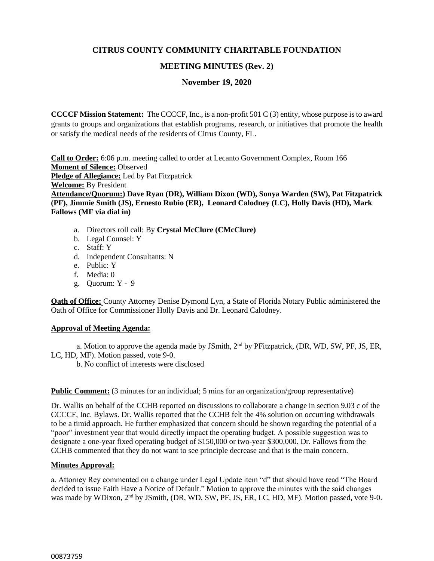# **CITRUS COUNTY COMMUNITY CHARITABLE FOUNDATION**

# **MEETING MINUTES (Rev. 2)**

**November 19, 2020**

**CCCCF Mission Statement:** The CCCCF, Inc., is a non-profit 501 C (3) entity, whose purpose is to award grants to groups and organizations that establish programs, research, or initiatives that promote the health or satisfy the medical needs of the residents of Citrus County, FL.

**Call to Order:** 6:06 p.m. meeting called to order at Lecanto Government Complex, Room 166 **Moment of Silence:** Observed **Pledge of Allegiance:** Led by Pat Fitzpatrick **Welcome:** By President **Attendance/Quorum:) Dave Ryan (DR), William Dixon (WD), Sonya Warden (SW), Pat Fitzpatrick (PF), Jimmie Smith (JS), Ernesto Rubio (ER), Leonard Calodney (LC), Holly Davis (HD), Mark Fallows (MF via dial in)**

- a. Directors roll call: By **Crystal McClure (CMcClure)**
- b. Legal Counsel: Y
- c. Staff: Y
- d. Independent Consultants: N
- e. Public: Y
- f. Media: 0
- g. Quorum: Y 9

**Oath of Office:** County Attorney Denise Dymond Lyn, a State of Florida Notary Public administered the Oath of Office for Commissioner Holly Davis and Dr. Leonard Calodney.

## **Approval of Meeting Agenda:**

a. Motion to approve the agenda made by JSmith, 2<sup>nd</sup> by PFitzpatrick, (DR, WD, SW, PF, JS, ER, LC, HD, MF). Motion passed, vote 9-0.

b. No conflict of interests were disclosed

## **Public Comment:** (3 minutes for an individual; 5 mins for an organization/group representative)

Dr. Wallis on behalf of the CCHB reported on discussions to collaborate a change in section 9.03 c of the CCCCF, Inc. Bylaws. Dr. Wallis reported that the CCHB felt the 4% solution on occurring withdrawals to be a timid approach. He further emphasized that concern should be shown regarding the potential of a "poor" investment year that would directly impact the operating budget. A possible suggestion was to designate a one-year fixed operating budget of \$150,000 or two-year \$300,000. Dr. Fallows from the CCHB commented that they do not want to see principle decrease and that is the main concern.

## **Minutes Approval:**

a. Attorney Rey commented on a change under Legal Update item "d" that should have read "The Board decided to issue Faith Have a Notice of Default." Motion to approve the minutes with the said changes was made by WDixon, 2<sup>nd</sup> by JSmith, (DR, WD, SW, PF, JS, ER, LC, HD, MF). Motion passed, vote 9-0.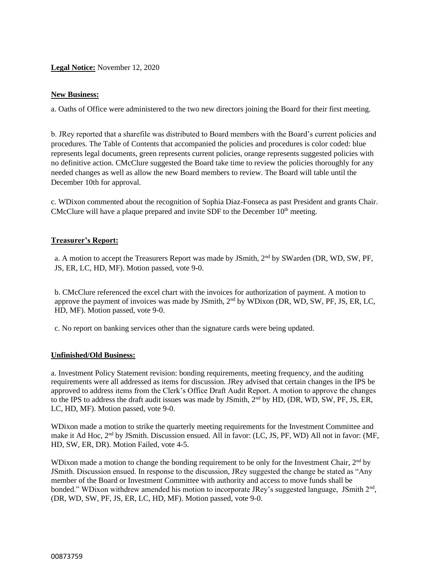# **Legal Notice:** November 12, 2020

### **New Business:**

a. Oaths of Office were administered to the two new directors joining the Board for their first meeting.

b. JRey reported that a sharefile was distributed to Board members with the Board's current policies and procedures. The Table of Contents that accompanied the policies and procedures is color coded: blue represents legal documents, green represents current policies, orange represents suggested policies with no definitive action. CMcClure suggested the Board take time to review the policies thoroughly for any needed changes as well as allow the new Board members to review. The Board will table until the December 10th for approval.

c. WDixon commented about the recognition of Sophia Diaz-Fonseca as past President and grants Chair. CMcClure will have a plaque prepared and invite SDF to the December  $10<sup>th</sup>$  meeting.

## **Treasurer's Report:**

a. A motion to accept the Treasurers Report was made by JSmith, 2<sup>nd</sup> by SWarden (DR, WD, SW, PF, JS, ER, LC, HD, MF). Motion passed, vote 9-0.

b. CMcClure referenced the excel chart with the invoices for authorization of payment. A motion to approve the payment of invoices was made by JSmith,  $2<sup>nd</sup>$  by WDixon (DR, WD, SW, PF, JS, ER, LC, HD, MF). Motion passed, vote 9-0.

c. No report on banking services other than the signature cards were being updated.

#### **Unfinished/Old Business:**

a. Investment Policy Statement revision: bonding requirements, meeting frequency, and the auditing requirements were all addressed as items for discussion. JRey advised that certain changes in the IPS be approved to address items from the Clerk's Office Draft Audit Report. A motion to approve the changes to the IPS to address the draft audit issues was made by JSmith, 2<sup>nd</sup> by HD, (DR, WD, SW, PF, JS, ER, LC, HD, MF). Motion passed, vote 9-0.

WDixon made a motion to strike the quarterly meeting requirements for the Investment Committee and make it Ad Hoc, 2<sup>nd</sup> by JSmith. Discussion ensued. All in favor: (LC, JS, PF, WD) All not in favor: (MF, HD, SW, ER, DR). Motion Failed, vote 4-5.

WDixon made a motion to change the bonding requirement to be only for the Investment Chair,  $2<sup>nd</sup>$  by JSmith. Discussion ensued. In response to the discussion, JRey suggested the change be stated as "Any member of the Board or Investment Committee with authority and access to move funds shall be bonded." WDixon withdrew amended his motion to incorporate JRey's suggested language, JSmith 2<sup>nd</sup>, (DR, WD, SW, PF, JS, ER, LC, HD, MF). Motion passed, vote 9-0.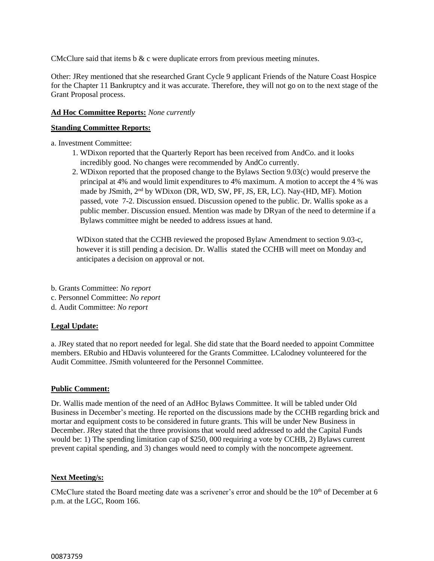CMcClure said that items  $b \& c$  were duplicate errors from previous meeting minutes.

Other: JRey mentioned that she researched Grant Cycle 9 applicant Friends of the Nature Coast Hospice for the Chapter 11 Bankruptcy and it was accurate. Therefore, they will not go on to the next stage of the Grant Proposal process.

#### **Ad Hoc Committee Reports:** *None currently*

### **Standing Committee Reports:**

a. Investment Committee:

- 1. WDixon reported that the Quarterly Report has been received from AndCo. and it looks incredibly good. No changes were recommended by AndCo currently.
- 2. WDixon reported that the proposed change to the Bylaws Section 9.03(c) would preserve the principal at 4% and would limit expenditures to 4% maximum. A motion to accept the 4 % was made by JSmith, 2nd by WDixon (DR, WD, SW, PF, JS, ER, LC). Nay-(HD, MF). Motion passed, vote 7-2. Discussion ensued. Discussion opened to the public. Dr. Wallis spoke as a public member. Discussion ensued. Mention was made by DRyan of the need to determine if a Bylaws committee might be needed to address issues at hand.

WDixon stated that the CCHB reviewed the proposed Bylaw Amendment to section 9.03-c, however it is still pending a decision. Dr. Wallis stated the CCHB will meet on Monday and anticipates a decision on approval or not.

- b. Grants Committee: *No report*
- c. Personnel Committee: *No report*
- d. Audit Committee: *No report*

## **Legal Update:**

a. JRey stated that no report needed for legal. She did state that the Board needed to appoint Committee members. ERubio and HDavis volunteered for the Grants Committee. LCalodney volunteered for the Audit Committee. JSmith volunteered for the Personnel Committee.

#### **Public Comment:**

Dr. Wallis made mention of the need of an AdHoc Bylaws Committee. It will be tabled under Old Business in December's meeting. He reported on the discussions made by the CCHB regarding brick and mortar and equipment costs to be considered in future grants. This will be under New Business in December. JRey stated that the three provisions that would need addressed to add the Capital Funds would be: 1) The spending limitation cap of \$250, 000 requiring a vote by CCHB, 2) Bylaws current prevent capital spending, and 3) changes would need to comply with the noncompete agreement.

#### **Next Meeting/s:**

CMcClure stated the Board meeting date was a scrivener's error and should be the  $10<sup>th</sup>$  of December at 6 p.m. at the LGC, Room 166.